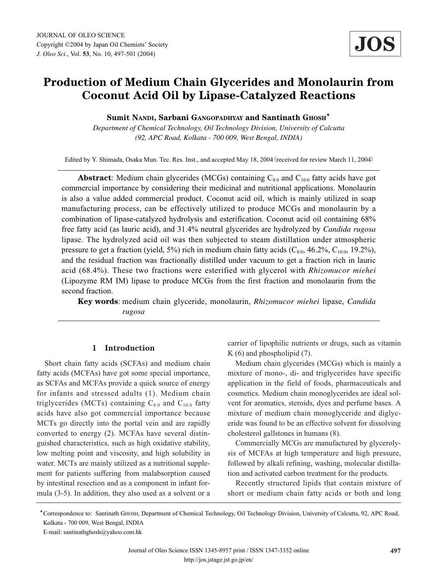# **Production of Medium Chain Glycerides and Monolaurin from Coconut Acid Oil by Lipase-Catalyzed Reactions**

## **Sumit NANDI, Sarbani GANGOPADHYAY and Santinath GHOSH**\*

*Department of Chemical Technology, Oil Technology Division, University of Calcutta (92, APC Road, Kolkata - 700 009, West Bengal, INDIA)*

Edited by Y. Shimada, Osaka Mun. Tec. Res. Inst., and accepted May 18, 2004 (received for review March 11, 2004)

**Abstract**: Medium chain glycerides (MCGs) containing  $C_{8:0}$  and  $C_{10:0}$  fatty acids have got commercial importance by considering their medicinal and nutritional applications. Monolaurin is also a value added commercial product. Coconut acid oil, which is mainly utilized in soap manufacturing process, can be effectively utilized to produce MCGs and monolaurin by a combination of lipase-catalyzed hydrolysis and esterification. Coconut acid oil containing 68% free fatty acid (as lauric acid), and 31.4% neutral glycerides are hydrolyzed by *Candida rugosa* lipase. The hydrolyzed acid oil was then subjected to steam distillation under atmospheric pressure to get a fraction (yield, 5%) rich in medium chain fatty acids  $(C_{8:0}$ , 46.2%,  $C_{10:0}$ , 19.2%), and the residual fraction was fractionally distilled under vacuum to get a fraction rich in lauric acid (68.4%). These two fractions were esterified with glycerol with *Rhizomucor miehei* (Lipozyme RM IM) lipase to produce MCGs from the first fraction and monolaurin from the second fraction.

**Key words**: medium chain glyceride, monolaurin, *Rhizomucor miehei* lipase, *Candida rugosa*

# **1 Introduction**

Short chain fatty acids (SCFAs) and medium chain fatty acids (MCFAs) have got some special importance, as SCFAs and MCFAs provide a quick source of energy for infants and stressed adults (1). Medium chain triglycerides (MCTs) containing  $C_{8:0}$  and  $C_{10:0}$  fatty acids have also got commercial importance because MCTs go directly into the portal vein and are rapidly converted to energy (2). MCFAs have several distinguished characteristics, such as high oxidative stability, low melting point and viscosity, and high solubility in water. MCTs are mainly utilized as a nutritional supplement for patients suffering from malabsorption caused by intestinal resection and as a component in infant formula (3-5). In addition, they also used as a solvent or a carrier of lipophilic nutrients or drugs, such as vitamin  $K(6)$  and phospholipid  $(7)$ .

**JOS**

Medium chain glycerides (MCGs) which is mainly a mixture of mono-, di- and triglycerides have specific application in the field of foods, pharmaceuticals and cosmetics. Medium chain monoglycerides are ideal solvent for aromatics, steroids, dyes and perfume bases. A mixture of medium chain monoglyceride and diglyceride was found to be an effective solvent for dissolving cholesterol gallstones in humans (8).

Commercially MCGs are manufactured by glycerolysis of MCFAs at high temperature and high pressure, followed by alkali refining, washing, molecular distillation and activated carbon treatment for the products.

Recently structured lipids that contain mixture of short or medium chain fatty acids or both and long

<sup>\*</sup>Correspondence to: Santinath GHOSH, Department of Chemical Technology, Oil Technology Division, University of Calcutta, 92, APC Road, Kolkata - 700 009, West Bengal, INDIA

E-mail: santinathghosh@yahoo.com.hk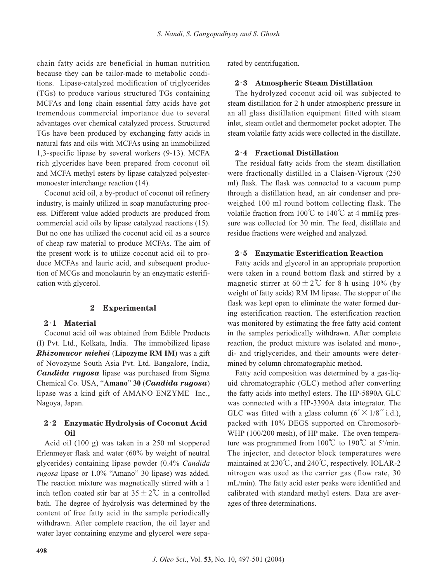chain fatty acids are beneficial in human nutrition because they can be tailor-made to metabolic conditions. Lipase-catalyzed modification of triglycerides (TGs) to produce various structured TGs containing MCFAs and long chain essential fatty acids have got tremendous commercial importance due to several advantages over chemical catalyzed process. Structured TGs have been produced by exchanging fatty acids in natural fats and oils with MCFAs using an immobilized 1,3-specific lipase by several workers (9-13). MCFA rich glycerides have been prepared from coconut oil and MCFA methyl esters by lipase catalyzed polyestermonoester interchange reaction (14).

Coconut acid oil, a by-product of coconut oil refinery industry, is mainly utilized in soap manufacturing process. Different value added products are produced from commercial acid oils by lipase catalyzed reactions (15). But no one has utilized the coconut acid oil as a source of cheap raw material to produce MCFAs. The aim of the present work is to utilize coconut acid oil to produce MCFAs and lauric acid, and subsequent production of MCGs and monolaurin by an enzymatic esterification with glycerol.

## **2 Experimental**

### **2**・**1 Material**

Coconut acid oil was obtained from Edible Products (I) Pvt. Ltd., Kolkata, India. The immobilized lipase *Rhizomucor miehei* (**Lipozyme RM IM**) was a gift of Novozyme South Asia Pvt. Ltd. Bangalore, India, *Candida rugosa* lipase was purchased from Sigma Chemical Co. USA, "**Amano**" **30** (*Candida rugosa*) lipase was a kind gift of AMANO ENZYME Inc., Nagoya, Japan.

# **2**・**2 Enzymatic Hydrolysis of Coconut Acid Oil**

Acid oil (100 g) was taken in a 250 ml stoppered Erlenmeyer flask and water (60% by weight of neutral glycerides) containing lipase powder (0.4% *Candida rugosa* lipase or 1.0% "Amano" 30 lipase) was added. The reaction mixture was magnetically stirred with a 1 inch teflon coated stir bar at  $35 \pm 2^{\circ}$  in a controlled bath. The degree of hydrolysis was determined by the content of free fatty acid in the sample periodically withdrawn. After complete reaction, the oil layer and water layer containing enzyme and glycerol were separated by centrifugation.

## **2**・**3 Atmospheric Steam Distillation**

The hydrolyzed coconut acid oil was subjected to steam distillation for 2 h under atmospheric pressure in an all glass distillation equipment fitted with steam inlet, steam outlet and thermometer pocket adopter. The steam volatile fatty acids were collected in the distillate.

#### **2**・**4 Fractional Distillation**

The residual fatty acids from the steam distillation were fractionally distilled in a Claisen-Vigroux (250 ml) flask. The flask was connected to a vacuum pump through a distillation head, an air condenser and preweighed 100 ml round bottom collecting flask. The volatile fraction from  $100^{\circ}$  to  $140^{\circ}$  at 4 mmHg pressure was collected for 30 min. The feed, distillate and residue fractions were weighed and analyzed.

#### **2**・**5 Enzymatic Esterification Reaction**

Fatty acids and glycerol in an appropriate proportion were taken in a round bottom flask and stirred by a magnetic stirrer at  $60 \pm 2$ °C for 8 h using 10% (by weight of fatty acids) RM IM lipase. The stopper of the flask was kept open to eliminate the water formed during esterification reaction. The esterification reaction was monitored by estimating the free fatty acid content in the samples periodically withdrawn. After complete reaction, the product mixture was isolated and mono-, di- and triglycerides, and their amounts were determined by column chromatographic method.

Fatty acid composition was determined by a gas-liquid chromatographic (GLC) method after converting the fatty acids into methyl esters. The HP-5890A GLC was connected with a HP-3390A data integrator. The GLC was fitted with a glass column  $(6' \times 1/8''$  i.d.), packed with 10% DEGS supported on Chromosorb-WHP (100/200 mesh), of HP make. The oven temperature was programmed from 100°C to 190°C at 5°/min. The injector, and detector block temperatures were maintained at 230℃, and 240℃, respectively. IOLAR-2 nitrogen was used as the carrier gas (flow rate, 30 mL/min). The fatty acid ester peaks were identified and calibrated with standard methyl esters. Data are averages of three determinations.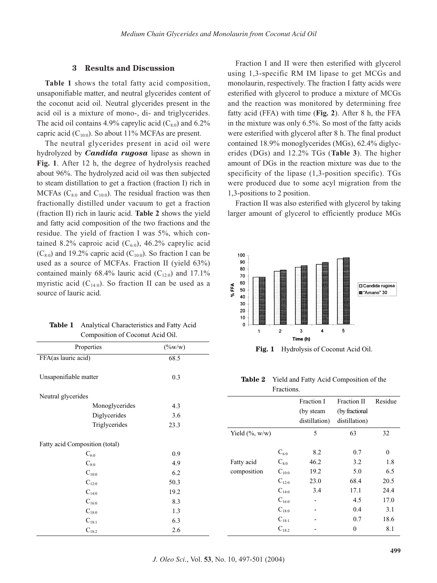#### **3 Results and Discussion**

**Table 1** shows the total fatty acid composition, unsaponifiable matter, and neutral glycerides content of the coconut acid oil. Neutral glycerides present in the acid oil is a mixture of mono-, di- and triglycerides. The acid oil contains 4.9% caprylic acid  $(C_{8:0})$  and 6.2% capric acid  $(C_{10:0})$ . So about 11% MCFAs are present.

The neutral glycerides present in acid oil were hydrolyzed by *Candida rugosa* lipase as shown in **Fig. 1**. After 12 h, the degree of hydrolysis reached about 96%. The hydrolyzed acid oil was then subjected to steam distillation to get a fraction (fraction I) rich in MCFAs ( $C_{8:0}$  and  $C_{10:0}$ ). The residual fraction was then fractionally distilled under vacuum to get a fraction (fraction II) rich in lauric acid. **Table 2** shows the yield and fatty acid composition of the two fractions and the residue. The yield of fraction I was 5%, which contained 8.2% caproic acid  $(C_{6.0})$ , 46.2% caprylic acid  $(C_{8:0})$  and 19.2% capric acid  $(C_{10:0})$ . So fraction I can be used as a source of MCFAs. Fraction II (yield 63%) contained mainly 68.4% lauric acid  $(C_{12:0})$  and 17.1% myristic acid  $(C_{14:0})$ . So fraction II can be used as a source of lauric acid.

| <b>Table 1</b> Analytical Characteristics and Fatty Acid |
|----------------------------------------------------------|
| Composition of Coconut Acid Oil.                         |

| Properties                     | $(\%w/w)$ |  |  |  |
|--------------------------------|-----------|--|--|--|
| FFA(as lauric acid)            | 68.5      |  |  |  |
| Unsaponifiable matter          | 0.3       |  |  |  |
| Neutral glycerides             |           |  |  |  |
| Monoglycerides                 | 4.3       |  |  |  |
| Diglycerides                   | 3.6       |  |  |  |
| Triglycerides                  | 23.3      |  |  |  |
| Fatty acid Composition (total) |           |  |  |  |
| $\mathrm{C}_{6:0}$             | 0.9       |  |  |  |
| $C_{8:0}$                      | 4.9       |  |  |  |
| $C_{10:0}$                     | 6.2       |  |  |  |
| $C_{12:0}$                     | 50.3      |  |  |  |
| $C_{14:0}$                     | 19.2      |  |  |  |
| $C_{16:0}$                     | 8.3       |  |  |  |
| $C_{18:0}$                     | 1.3       |  |  |  |
| $C_{18:1}$                     | 6.3       |  |  |  |
| $C_{18:2}$                     | 2.6       |  |  |  |

Fraction I and II were then esterified with glycerol using 1,3-specific RM IM lipase to get MCGs and monolaurin, respectively. The fraction I fatty acids were esterified with glycerol to produce a mixture of MCGs and the reaction was monitored by determining free fatty acid (FFA) with time (**Fig. 2**). After 8 h, the FFA in the mixture was only 6.5%. So most of the fatty acids were esterified with glycerol after 8 h. The final product contained 18.9% monoglycerides (MGs), 62.4% diglycerides (DGs) and 12.2% TGs (**Table 3**). The higher amount of DGs in the reaction mixture was due to the specificity of the lipase (1,3-position specific). TGs were produced due to some acyl migration from the 1,3-positions to 2 position.

Fraction II was also esterified with glycerol by taking larger amount of glycerol to efficiently produce MGs



**Fig. 1** Hydrolysis of Coconut Acid Oil.

#### **Table 2** Yield and Fatty Acid Composition of the Fractions.

|                    |            | <b>Fraction I</b><br>(by steam)<br>distillation) | <b>Fraction II</b><br>(by fractional<br>distillation) | Residue  |
|--------------------|------------|--------------------------------------------------|-------------------------------------------------------|----------|
| Yield $(\%$ , w/w) |            | 5                                                | 63                                                    | 32       |
|                    | $C_{6:0}$  | 8.2                                              | 0.7                                                   | $\theta$ |
| Fatty acid         | $C_{8:0}$  | 46.2                                             | 3.2                                                   | 1.8      |
| composition        | $C_{10:0}$ | 19.2                                             | 5.0                                                   | 6.5      |
|                    | $C_{12:0}$ | 23.0                                             | 68.4                                                  | 20.5     |
|                    | $C_{14:0}$ | 3.4                                              | 17.1                                                  | 24.4     |
|                    | $C_{16:0}$ |                                                  | 4.5                                                   | 17.0     |
|                    | $C_{18:0}$ |                                                  | 0.4                                                   | 3.1      |
|                    | $C_{18:1}$ |                                                  | 0.7                                                   | 18.6     |
|                    | $C_{18:2}$ |                                                  | 0                                                     | 8.1      |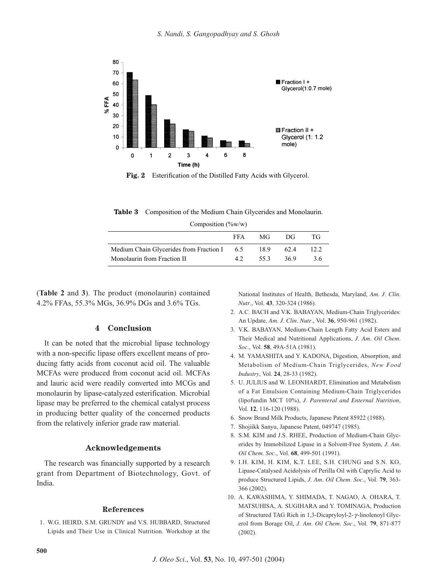

**Fig. 2** Esterification of the Distilled Fatty Acids with Glycerol.

Composition  $(\frac{0}{w}w/w)$ **Table 3** Composition of the Medium Chain Glycerides and Monolaurin.

|                                             | FFA | MG   | DG  | TG.   |  |  |  |
|---------------------------------------------|-----|------|-----|-------|--|--|--|
| Medium Chain Glycerides from Fraction I 6.5 |     | 18.9 | 624 | 12.2. |  |  |  |
| Monolaurin from Fraction II                 | 42  | 55.3 | 369 | 3.6   |  |  |  |

(**Table 2** and **3**). The product (monolaurin) contained 4.2% FFAs, 55.3% MGs, 36.9% DGs and 3.6% TGs.

# **4 Conclusion**

It can be noted that the microbial lipase technology with a non-specific lipase offers excellent means of producing fatty acids from coconut acid oil. The valuable MCFAs were produced from coconut acid oil. MCFAs and lauric acid were readily converted into MCGs and monolaurin by lipase-catalyzed esterification. Microbial lipase may be preferred to the chemical catalyst process in producing better quality of the concerned products from the relatively inferior grade raw material.

# **Acknowledgements**

The research was financially supported by a research grant from Department of Biotechnology, Govt. of India.

## **References**

1. W.G. HEIRD, S.M. GRUNDY and V.S. HUBBARD, Structured Lipids and Their Use in Clinical Nutrition. Workshop at the

National Institutes of Health, Bethesda, Maryland, *Am*. *J*. *Clin*. *Nutr*., Vol. **43**, 320-324 (1986).

- 2. A.C. BACH and V.K. BABAYAN, Medium-Chain Triglycerides: An Update, *Am*. *J*. *Clin*. *Nutr*., Vol. **36**, 950-961 (1982).
- 3. V.K. BABAYAN, Medium-Chain Length Fatty Acid Esters and Their Medical and Nutritional Applications, *J*. *Am*. *Oil Chem*. *Soc*., Vol. **58**, 49A-51A (1981).
- 4. M. YAMASHITA and Y. KADONA, Digestion, Absorption, and Metabolism of Medium-Chain Triglycerides, *New Food Industry*, Vol. **24**, 28-33 (1982).
- 5. U. JULIUS and W. LEONHARDT, Elimination and Metabolism of a Fat Emulsion Containing Medium-Chain Triglycerides (lipofundin MCT 10%), *J*. *Parenteral and Enternal Nutrition*, Vol. **12**, 116-120 (1988).
- 6. Snow Brand Milk Products, Japanese Patent 85922 (1988).
- 7. Shojiikk Sanyu, Japanese Patent, 049747 (1985).
- 8. S.M. KIM and J.S. RHEE, Production of Medium-Chain Glycerides by Immobilized Lipase in a Solvent-Free System, *J*. *Am*. *Oil Chem*. *Soc*., Vol. **68**, 499-501 (1991).
- 9. I.H. KIM, H. KIM, K.T. LEE, S.H. CHUNG and S.N. KO, Lipase-Catalysed Acidolysis of Perilla Oil with Caprylic Acid to produce Structured Lipids, *J*. *Am*. *Oil Chem*. *Soc*., Vol. **79**, 363- 366 (2002).
- 10. A. KAWASHIMA, Y. SHIMADA, T. NAGAO, A. OHARA, T. MATSUHISA, A. SUGIHARA and Y. TOMINAGA, Production of Structured TAG Rich in 1,3-Dicapryloyl-2- $\gamma$ -linolenoyl Glycerol from Borage Oil, *J*. *Am*. *Oil Chem*. *Soc*., Vol. **79**, 871-877 (2002).